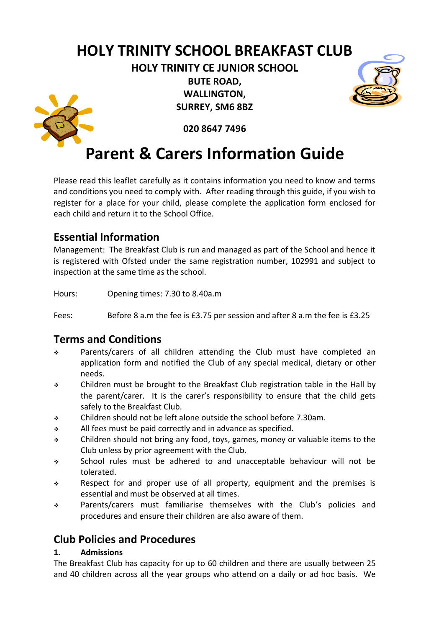# **HOLY TRINITY SCHOOL BREAKFAST CLUB**

**HOLY TRINITY CE JUNIOR SCHOOL BUTE ROAD, WALLINGTON, SURREY, SM6 8BZ**





**020 8647 7496**

# **Parent & Carers Information Guide**

Please read this leaflet carefully as it contains information you need to know and terms and conditions you need to comply with. After reading through this guide, if you wish to register for a place for your child, please complete the application form enclosed for each child and return it to the School Office.

## **Essential Information**

Management: The Breakfast Club is run and managed as part of the School and hence it is registered with Ofsted under the same registration number, 102991 and subject to inspection at the same time as the school.

Hours: Opening times: 7.30 to 8.40a.m

Fees: Before 8 a.m the fee is £3.75 per session and after 8 a.m the fee is £3.25

### **Terms and Conditions**

- Parents/carers of all children attending the Club must have completed an application form and notified the Club of any special medical, dietary or other needs.
- Children must be brought to the Breakfast Club registration table in the Hall by the parent/carer. It is the carer's responsibility to ensure that the child gets safely to the Breakfast Club.
- Children should not be left alone outside the school before 7.30am.
- $\cdot$  All fees must be paid correctly and in advance as specified.
- Children should not bring any food, toys, games, money or valuable items to the Club unless by prior agreement with the Club.
- School rules must be adhered to and unacceptable behaviour will not be tolerated.
- $\div$  Respect for and proper use of all property, equipment and the premises is essential and must be observed at all times.
- Parents/carers must familiarise themselves with the Club's policies and procedures and ensure their children are also aware of them.

## **Club Policies and Procedures**

#### **1. Admissions**

The Breakfast Club has capacity for up to 60 children and there are usually between 25 and 40 children across all the year groups who attend on a daily or ad hoc basis. We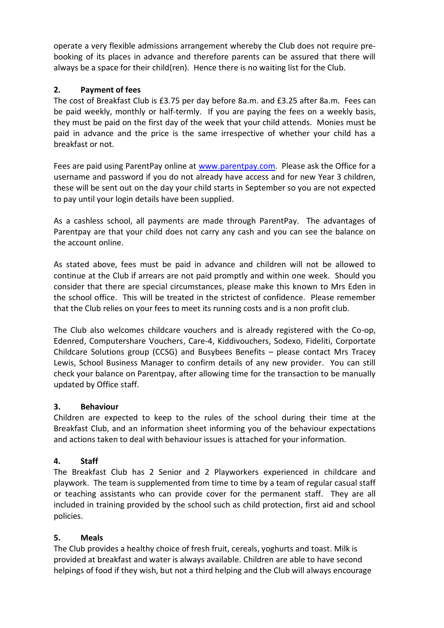operate a very flexible admissions arrangement whereby the Club does not require prebooking of its places in advance and therefore parents can be assured that there will always be a space for their child(ren). Hence there is no waiting list for the Club.

#### **2. Payment of fees**

The cost of Breakfast Club is £3.75 per day before 8a.m. and £3.25 after 8a.m. Fees can be paid weekly, monthly or half-termly. If you are paying the fees on a weekly basis, they must be paid on the first day of the week that your child attends. Monies must be paid in advance and the price is the same irrespective of whether your child has a breakfast or not.

Fees are paid using ParentPay online at [www.parentpay.com.](http://www.parentpay.com/) Please ask the Office for a username and password if you do not already have access and for new Year 3 children, these will be sent out on the day your child starts in September so you are not expected to pay until your login details have been supplied.

As a cashless school, all payments are made through ParentPay. The advantages of Parentpay are that your child does not carry any cash and you can see the balance on the account online.

As stated above, fees must be paid in advance and children will not be allowed to continue at the Club if arrears are not paid promptly and within one week. Should you consider that there are special circumstances, please make this known to Mrs Eden in the school office. This will be treated in the strictest of confidence. Please remember that the Club relies on your fees to meet its running costs and is a non profit club.

The Club also welcomes childcare vouchers and is already registered with the Co-op, Edenred, Computershare Vouchers, Care-4, Kiddivouchers, Sodexo, Fideliti, Corportate Childcare Solutions group (CCSG) and Busybees Benefits – please contact Mrs Tracey Lewis, School Business Manager to confirm details of any new provider. You can still check your balance on Parentpay, after allowing time for the transaction to be manually updated by Office staff.

#### **3. Behaviour**

Children are expected to keep to the rules of the school during their time at the Breakfast Club, and an information sheet informing you of the behaviour expectations and actions taken to deal with behaviour issues is attached for your information.

#### **4. Staff**

The Breakfast Club has 2 Senior and 2 Playworkers experienced in childcare and playwork. The team is supplemented from time to time by a team of regular casual staff or teaching assistants who can provide cover for the permanent staff. They are all included in training provided by the school such as child protection, first aid and school policies.

### **5. Meals**

The Club provides a healthy choice of fresh fruit, cereals, yoghurts and toast. Milk is provided at breakfast and water is always available. Children are able to have second helpings of food if they wish, but not a third helping and the Club will always encourage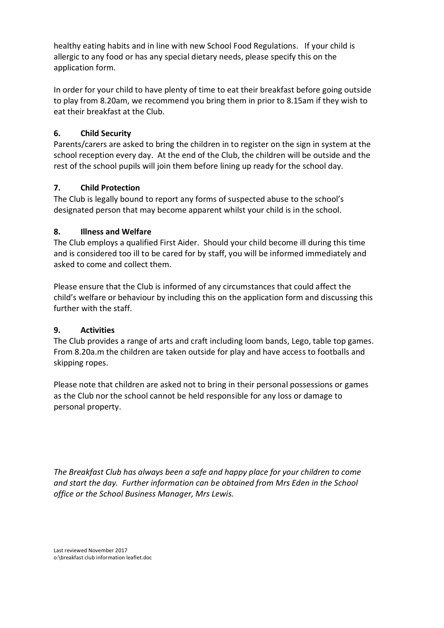healthy eating habits and in line with new School Food Regulations. If your child is allergic to any food or has any special dietary needs, please specify this on the application form.

In order for your child to have plenty of time to eat their breakfast before going outside to play from 8.20am, we recommend you bring them in prior to 8.15am if they wish to eat their breakfast at the Club.

#### **6. Child Security**

Parents/carers are asked to bring the children in to register on the sign in system at the school reception every day. At the end of the Club, the children will be outside and the rest of the school pupils will join them before lining up ready for the school day.

#### **7. Child Protection**

The Club is legally bound to report any forms of suspected abuse to the school's designated person that may become apparent whilst your child is in the school.

#### **8. Illness and Welfare**

The Club employs a qualified First Aider. Should your child become ill during this time and is considered too ill to be cared for by staff, you will be informed immediately and asked to come and collect them.

Please ensure that the Club is informed of any circumstances that could affect the child's welfare or behaviour by including this on the application form and discussing this further with the staff.

#### **9. Activities**

The Club provides a range of arts and craft including loom bands, Lego, table top games. From 8.20a.m the children are taken outside for play and have access to footballs and skipping ropes.

Please note that children are asked not to bring in their personal possessions or games as the Club nor the school cannot be held responsible for any loss or damage to personal property.

*The Breakfast Club has always been a safe and happy place for your children to come and start the day. Further information can be obtained from Mrs Eden in the School office or the School Business Manager, Mrs Lewis.*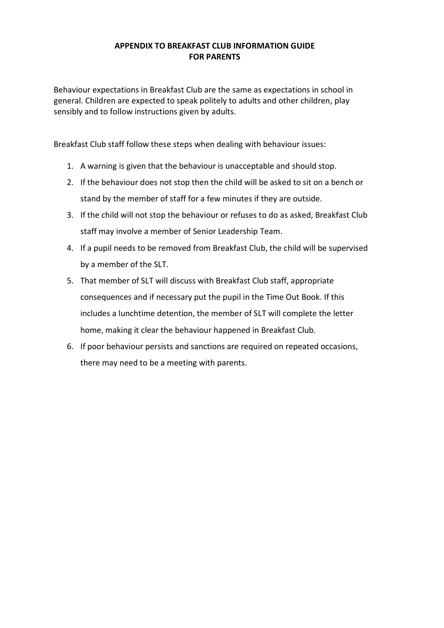#### **APPENDIX TO BREAKFAST CLUB INFORMATION GUIDE FOR PARENTS**

Behaviour expectations in Breakfast Club are the same as expectations in school in general. Children are expected to speak politely to adults and other children, play sensibly and to follow instructions given by adults.

Breakfast Club staff follow these steps when dealing with behaviour issues:

- 1. A warning is given that the behaviour is unacceptable and should stop.
- 2. If the behaviour does not stop then the child will be asked to sit on a bench or stand by the member of staff for a few minutes if they are outside.
- 3. If the child will not stop the behaviour or refuses to do as asked, Breakfast Club staff may involve a member of Senior Leadership Team.
- 4. If a pupil needs to be removed from Breakfast Club, the child will be supervised by a member of the SLT.
- 5. That member of SLT will discuss with Breakfast Club staff, appropriate consequences and if necessary put the pupil in the Time Out Book. If this includes a lunchtime detention, the member of SLT will complete the letter home, making it clear the behaviour happened in Breakfast Club.
- 6. If poor behaviour persists and sanctions are required on repeated occasions, there may need to be a meeting with parents.